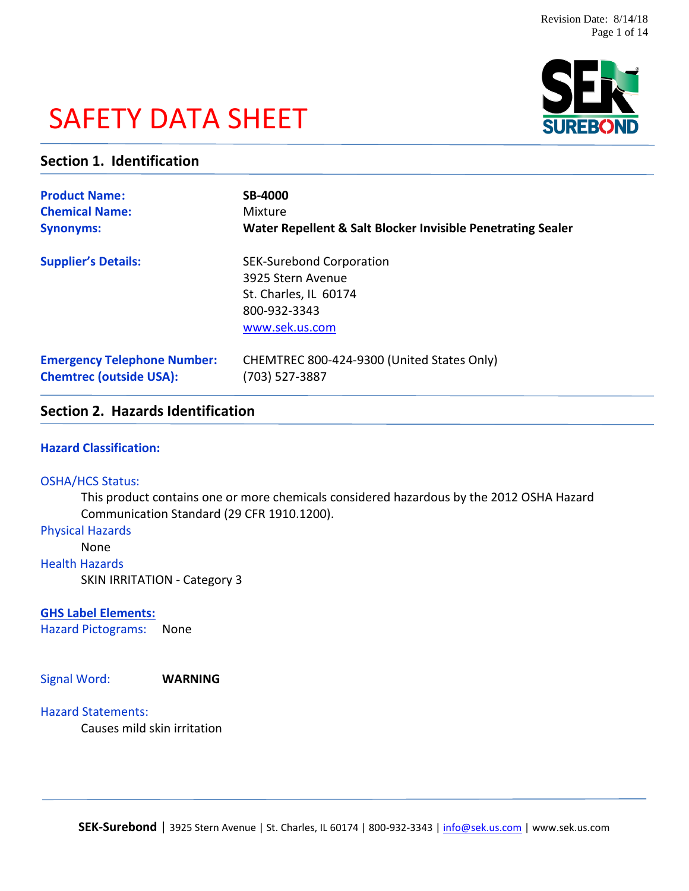# SAFETY DATA SHEET



# **Section 1. Identification**

| <b>Product Name:</b>               | <b>SB-4000</b>                                                                                                  |
|------------------------------------|-----------------------------------------------------------------------------------------------------------------|
| <b>Chemical Name:</b>              | Mixture                                                                                                         |
| <b>Synonyms:</b>                   | Water Repellent & Salt Blocker Invisible Penetrating Sealer                                                     |
| <b>Supplier's Details:</b>         | <b>SEK-Surebond Corporation</b><br>3925 Stern Avenue<br>St. Charles, IL 60174<br>800-932-3343<br>www.sek.us.com |
| <b>Emergency Telephone Number:</b> | CHEMTREC 800-424-9300 (United States Only)                                                                      |
| <b>Chemtrec (outside USA):</b>     | (703) 527-3887                                                                                                  |

# **Section 2. Hazards Identification**

#### **Hazard Classification:**

#### OSHA/HCS Status:

This product contains one or more chemicals considered hazardous by the 2012 OSHA Hazard Communication Standard (29 CFR 1910.1200).

#### Physical Hazards

None

#### Health Hazards

SKIN IRRITATION - Category 3

# **GHS Label Elements:**

Hazard Pictograms: None

Signal Word: **WARNING**

# Hazard Statements:

Causes mild skin irritation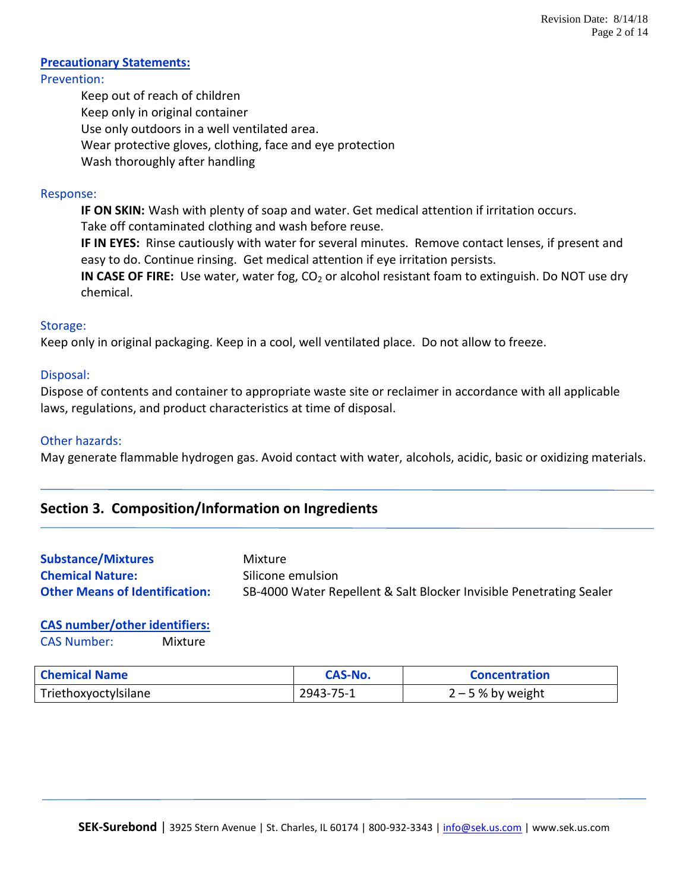#### **Precautionary Statements:** Prevention:

Keep out of reach of children Keep only in original container Use only outdoors in a well ventilated area. Wear protective gloves, clothing, face and eye protection Wash thoroughly after handling

# Response:

**IF ON SKIN:** Wash with plenty of soap and water. Get medical attention if irritation occurs. Take off contaminated clothing and wash before reuse. **IF IN EYES:** Rinse cautiously with water for several minutes. Remove contact lenses, if present and easy to do. Continue rinsing. Get medical attention if eye irritation persists. **IN CASE OF FIRE:** Use water, water fog, CO<sub>2</sub> or alcohol resistant foam to extinguish. Do NOT use dry chemical.

# Storage:

Keep only in original packaging. Keep in a cool, well ventilated place. Do not allow to freeze.

# Disposal:

Dispose of contents and container to appropriate waste site or reclaimer in accordance with all applicable laws, regulations, and product characteristics at time of disposal.

# Other hazards:

May generate flammable hydrogen gas. Avoid contact with water, alcohols, acidic, basic or oxidizing materials.

# **Section 3. Composition/Information on Ingredients**

| <b>Substance/Mixtures</b>             | Mixture                                                             |
|---------------------------------------|---------------------------------------------------------------------|
| <b>Chemical Nature:</b>               | Silicone emulsion                                                   |
| <b>Other Means of Identification:</b> | SB-4000 Water Repellent & Salt Blocker Invisible Penetrating Sealer |

# **CAS number/other identifiers:**

CAS Number: Mixture

| <b>Chemical Name</b> | <b>CAS-No.</b> | <b>Concentration</b> |
|----------------------|----------------|----------------------|
| Triethoxyoctylsilane | 2943-75-1      | $2 - 5$ % by weight  |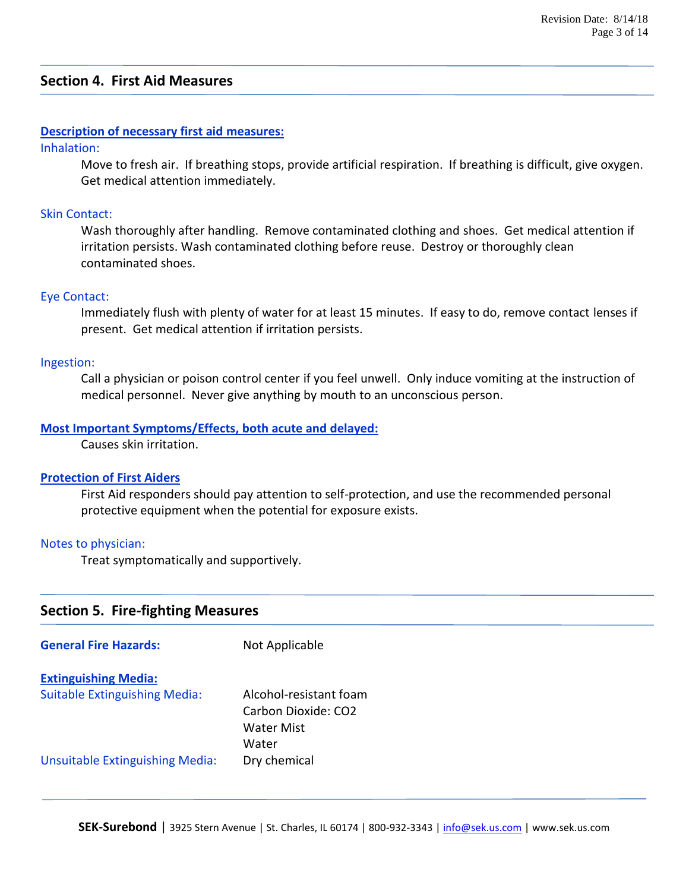# **Section 4. First Aid Measures**

#### **Description of necessary first aid measures:**

#### Inhalation:

Move to fresh air. If breathing stops, provide artificial respiration. If breathing is difficult, give oxygen. Get medical attention immediately.

#### Skin Contact:

Wash thoroughly after handling. Remove contaminated clothing and shoes. Get medical attention if irritation persists. Wash contaminated clothing before reuse. Destroy or thoroughly clean contaminated shoes.

#### Eye Contact:

Immediately flush with plenty of water for at least 15 minutes. If easy to do, remove contact lenses if present. Get medical attention if irritation persists.

#### Ingestion:

Call a physician or poison control center if you feel unwell. Only induce vomiting at the instruction of medical personnel. Never give anything by mouth to an unconscious person.

#### **Most Important Symptoms/Effects, both acute and delayed:**

Causes skin irritation.

#### **Protection of First Aiders**

First Aid responders should pay attention to self-protection, and use the recommended personal protective equipment when the potential for exposure exists.

#### Notes to physician:

Treat symptomatically and supportively.

# **Section 5. Fire-fighting Measures**

| <b>General Fire Hazards:</b>           | Not Applicable                                                       |
|----------------------------------------|----------------------------------------------------------------------|
| <b>Extinguishing Media:</b>            |                                                                      |
| <b>Suitable Extinguishing Media:</b>   | Alcohol-resistant foam<br>Carbon Dioxide: CO2<br>Water Mist<br>Water |
| <b>Unsuitable Extinguishing Media:</b> | Dry chemical                                                         |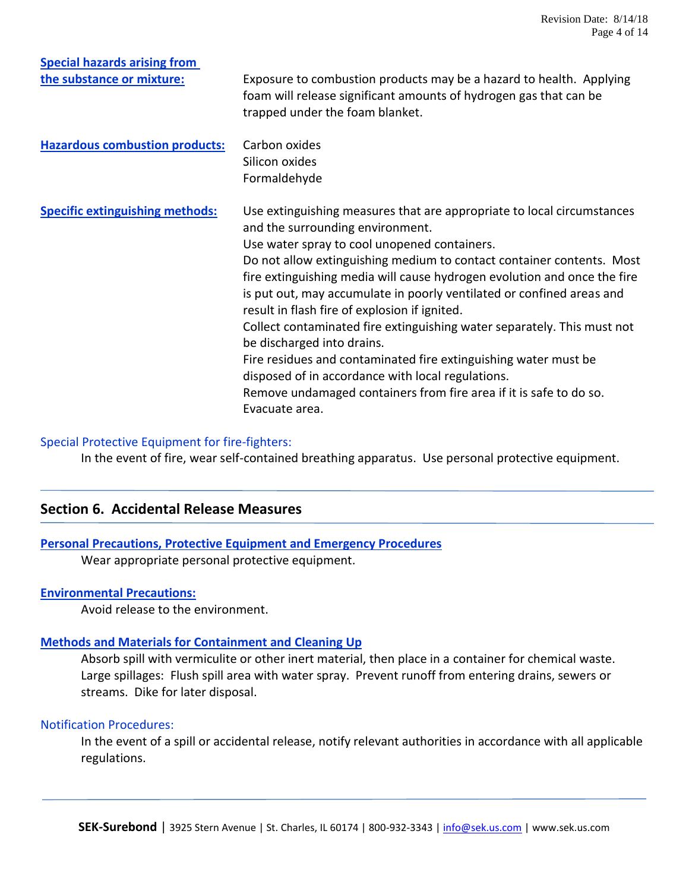| <b>Special hazards arising from</b>    |                                                                                                                                                                                                                                                                             |
|----------------------------------------|-----------------------------------------------------------------------------------------------------------------------------------------------------------------------------------------------------------------------------------------------------------------------------|
| the substance or mixture:              | Exposure to combustion products may be a hazard to health. Applying<br>foam will release significant amounts of hydrogen gas that can be<br>trapped under the foam blanket.                                                                                                 |
| <b>Hazardous combustion products:</b>  | Carbon oxides<br>Silicon oxides                                                                                                                                                                                                                                             |
|                                        | Formaldehyde                                                                                                                                                                                                                                                                |
| <b>Specific extinguishing methods:</b> | Use extinguishing measures that are appropriate to local circumstances<br>and the surrounding environment.<br>Use water spray to cool unopened containers.                                                                                                                  |
|                                        | Do not allow extinguishing medium to contact container contents. Most<br>fire extinguishing media will cause hydrogen evolution and once the fire<br>is put out, may accumulate in poorly ventilated or confined areas and<br>result in flash fire of explosion if ignited. |
|                                        | Collect contaminated fire extinguishing water separately. This must not<br>be discharged into drains.                                                                                                                                                                       |
|                                        | Fire residues and contaminated fire extinguishing water must be                                                                                                                                                                                                             |
|                                        | disposed of in accordance with local regulations.                                                                                                                                                                                                                           |
|                                        | Remove undamaged containers from fire area if it is safe to do so.                                                                                                                                                                                                          |
|                                        | Evacuate area.                                                                                                                                                                                                                                                              |

#### Special Protective Equipment for fire-fighters:

In the event of fire, wear self-contained breathing apparatus. Use personal protective equipment.

# **Section 6. Accidental Release Measures**

#### **Personal Precautions, Protective Equipment and Emergency Procedures**

Wear appropriate personal protective equipment.

#### **Environmental Precautions:**

Avoid release to the environment.

#### **Methods and Materials for Containment and Cleaning Up**

Absorb spill with vermiculite or other inert material, then place in a container for chemical waste. Large spillages: Flush spill area with water spray. Prevent runoff from entering drains, sewers or streams. Dike for later disposal.

#### Notification Procedures:

In the event of a spill or accidental release, notify relevant authorities in accordance with all applicable regulations.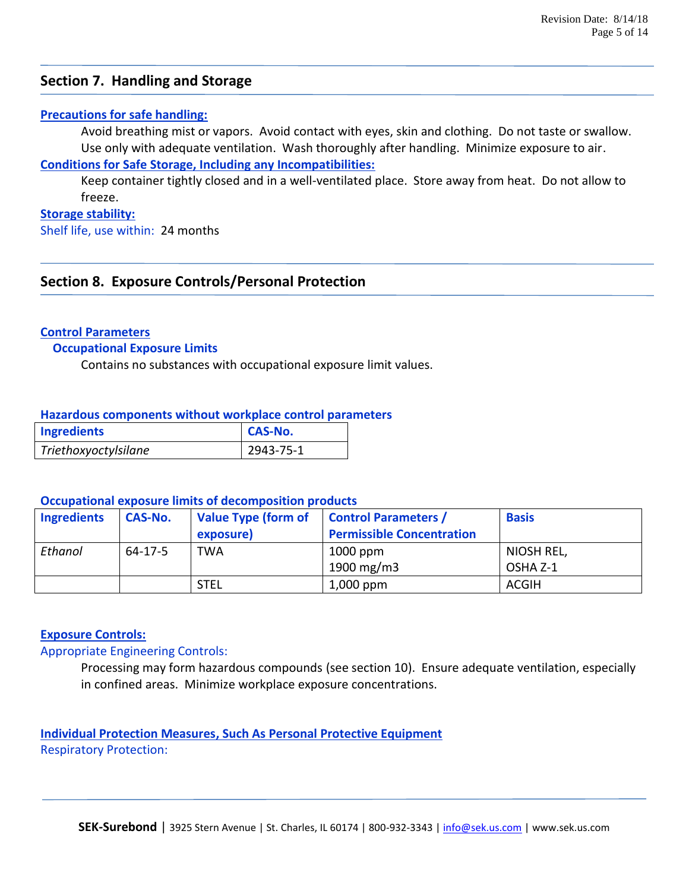# **Section 7. Handling and Storage**

## **Precautions for safe handling:**

Avoid breathing mist or vapors. Avoid contact with eyes, skin and clothing. Do not taste or swallow. Use only with adequate ventilation. Wash thoroughly after handling. Minimize exposure to air.

# **Conditions for Safe Storage, Including any Incompatibilities:**

Keep container tightly closed and in a well-ventilated place. Store away from heat. Do not allow to freeze.

#### **Storage stability:**

Shelf life, use within: 24 months

# **Section 8. Exposure Controls/Personal Protection**

#### **Control Parameters**

#### **Occupational Exposure Limits**

Contains no substances with occupational exposure limit values.

#### **Hazardous components without workplace control parameters**

| <b>Ingredients</b>   | <b>CAS-No.</b>   |  |
|----------------------|------------------|--|
| Triethoxyoctylsilane | $12943 - 75 - 1$ |  |

#### **Occupational exposure limits of decomposition products**

| <b>Ingredients</b> | <b>CAS-No.</b> | <b>Value Type (form of</b><br>exposure) | <b>Control Parameters /</b><br><b>Permissible Concentration</b> | <b>Basis</b> |
|--------------------|----------------|-----------------------------------------|-----------------------------------------------------------------|--------------|
| Ethanol            | $64 - 17 - 5$  | <b>TWA</b>                              | $1000$ ppm                                                      | NIOSH REL,   |
|                    |                |                                         | 1900 mg/m $3$                                                   | OSHA Z-1     |
|                    |                | <b>STEL</b>                             | $1,000$ ppm                                                     | <b>ACGIH</b> |

## **Exposure Controls:**

#### Appropriate Engineering Controls:

Processing may form hazardous compounds (see section 10). Ensure adequate ventilation, especially in confined areas. Minimize workplace exposure concentrations.

**Individual Protection Measures, Such As Personal Protective Equipment** Respiratory Protection: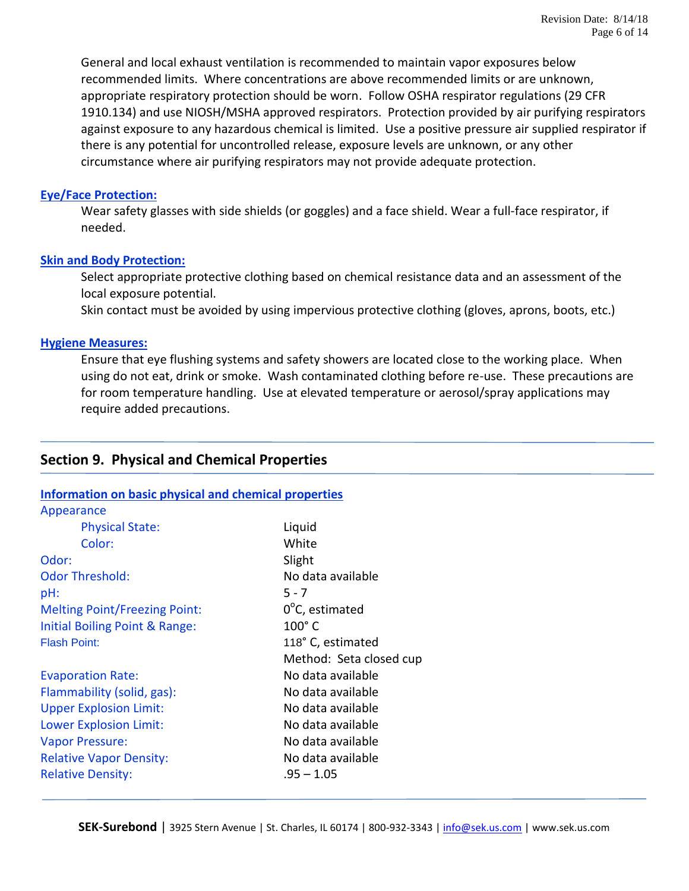General and local exhaust ventilation is recommended to maintain vapor exposures below recommended limits. Where concentrations are above recommended limits or are unknown, appropriate respiratory protection should be worn. Follow OSHA respirator regulations (29 CFR 1910.134) and use NIOSH/MSHA approved respirators. Protection provided by air purifying respirators against exposure to any hazardous chemical is limited. Use a positive pressure air supplied respirator if there is any potential for uncontrolled release, exposure levels are unknown, or any other circumstance where air purifying respirators may not provide adequate protection.

#### **Eye/Face Protection:**

Wear safety glasses with side shields (or goggles) and a face shield. Wear a full-face respirator, if needed.

#### **Skin and Body Protection:**

Select appropriate protective clothing based on chemical resistance data and an assessment of the local exposure potential.

Skin contact must be avoided by using impervious protective clothing (gloves, aprons, boots, etc.)

## **Hygiene Measures:**

Ensure that eye flushing systems and safety showers are located close to the working place. When using do not eat, drink or smoke. Wash contaminated clothing before re-use. These precautions are for room temperature handling. Use at elevated temperature or aerosol/spray applications may require added precautions.

# **Section 9. Physical and Chemical Properties**

## **Information on basic physical and chemical properties**

| Appearance                           |                          |
|--------------------------------------|--------------------------|
| <b>Physical State:</b>               | Liquid                   |
| Color:                               | White                    |
| Odor:                                | Slight                   |
| <b>Odor Threshold:</b>               | No data available        |
| $pH$ :                               | $5 - 7$                  |
| <b>Melting Point/Freezing Point:</b> | $0^{\circ}$ C, estimated |
| Initial Boiling Point & Range:       | $100^\circ$ C            |
| <b>Flash Point:</b>                  | 118° C, estimated        |
|                                      | Method: Seta closed cup  |
| <b>Evaporation Rate:</b>             | No data available        |
| Flammability (solid, gas):           | No data available        |
| <b>Upper Explosion Limit:</b>        | No data available        |
| Lower Explosion Limit:               | No data available        |
| <b>Vapor Pressure:</b>               | No data available        |
| <b>Relative Vapor Density:</b>       | No data available        |
| <b>Relative Density:</b>             | .95 – 1.05               |
|                                      |                          |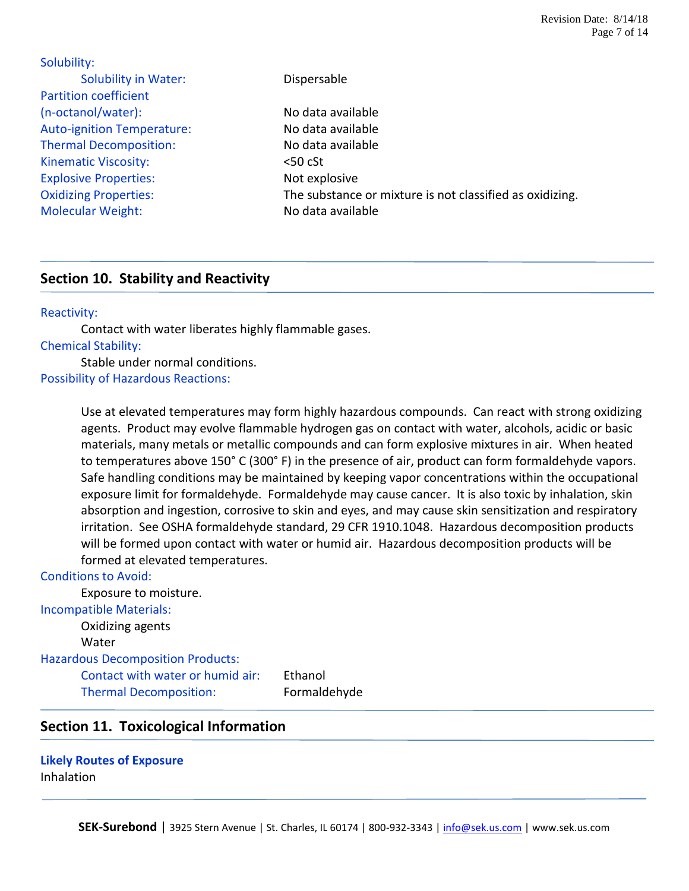| Dispersable                                              |
|----------------------------------------------------------|
|                                                          |
| No data available                                        |
| No data available                                        |
| No data available                                        |
| $50$ cSt                                                 |
| Not explosive                                            |
| The substance or mixture is not classified as oxidizing. |
| No data available                                        |
|                                                          |

# **Section 10. Stability and Reactivity**

#### Reactivity:

Contact with water liberates highly flammable gases. Chemical Stability: Stable under normal conditions.

Possibility of Hazardous Reactions:

Use at elevated temperatures may form highly hazardous compounds. Can react with strong oxidizing agents. Product may evolve flammable hydrogen gas on contact with water, alcohols, acidic or basic materials, many metals or metallic compounds and can form explosive mixtures in air. When heated to temperatures above 150° C (300° F) in the presence of air, product can form formaldehyde vapors. Safe handling conditions may be maintained by keeping vapor concentrations within the occupational exposure limit for formaldehyde. Formaldehyde may cause cancer. It is also toxic by inhalation, skin absorption and ingestion, corrosive to skin and eyes, and may cause skin sensitization and respiratory irritation. See OSHA formaldehyde standard, 29 CFR 1910.1048. Hazardous decomposition products will be formed upon contact with water or humid air. Hazardous decomposition products will be formed at elevated temperatures.

#### Conditions to Avoid:

Exposure to moisture. Incompatible Materials: Oxidizing agents **Water** Hazardous Decomposition Products:

Contact with water or humid air: Ethanol Thermal Decomposition: Formaldehyde

# **Section 11. Toxicological Information**

**Likely Routes of Exposure** Inhalation

**SEK-Surebond** | 3925 Stern Avenue | St. Charles, IL 60174 | 800-932-3343 | [info@sek.us.com](mailto:info@sek.us.com) | www.sek.us.com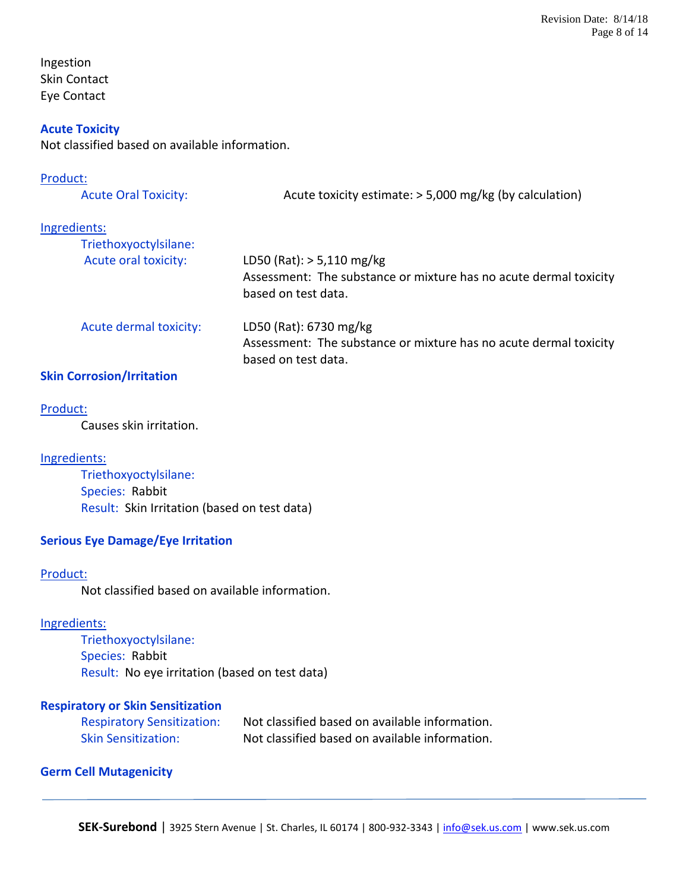Ingestion Skin Contact Eye Contact

#### **Acute Toxicity**

Not classified based on available information.

#### Product:

| <b>Acute Oral Toxicity:</b> | Acute toxicity estimate: > 5,000 mg/kg (by calculation)                                                                 |
|-----------------------------|-------------------------------------------------------------------------------------------------------------------------|
| Ingredients:                |                                                                                                                         |
| Triethoxyoctylsilane:       |                                                                                                                         |
| Acute oral toxicity:        | LD50 (Rat): $> 5,110$ mg/kg<br>Assessment: The substance or mixture has no acute dermal toxicity<br>based on test data. |
| Acute dermal toxicity:      | LD50 (Rat): 6730 mg/kg<br>Assessment: The substance or mixture has no acute dermal toxicity<br>based on test data.      |
| .                           |                                                                                                                         |

# **Skin Corrosion/Irritation**

# Product:

Causes skin irritation.

#### Ingredients:

Triethoxyoctylsilane: Species: Rabbit Result: Skin Irritation (based on test data)

## **Serious Eye Damage/Eye Irritation**

#### Product:

Not classified based on available information.

#### Ingredients:

Triethoxyoctylsilane: Species: Rabbit Result: No eye irritation (based on test data)

## **Respiratory or Skin Sensitization**

| <b>Respiratory Sensitization:</b> | Not classified based on available information. |
|-----------------------------------|------------------------------------------------|
| <b>Skin Sensitization:</b>        | Not classified based on available information. |

#### **Germ Cell Mutagenicity**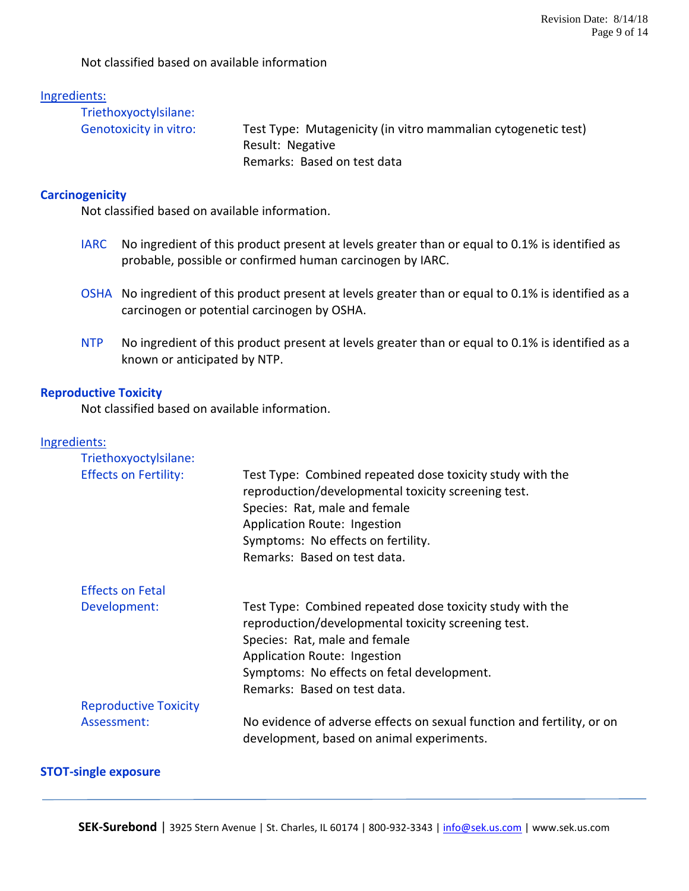Not classified based on available information

#### Ingredients:

| Triethoxyoctylsilane:  |                                                               |
|------------------------|---------------------------------------------------------------|
| Genotoxicity in vitro: | Test Type: Mutagenicity (in vitro mammalian cytogenetic test) |
|                        | Result: Negative                                              |
|                        | Remarks: Based on test data                                   |

#### **Carcinogenicity**

Not classified based on available information.

- IARC No ingredient of this product present at levels greater than or equal to 0.1% is identified as probable, possible or confirmed human carcinogen by IARC.
- OSHA No ingredient of this product present at levels greater than or equal to 0.1% is identified as a carcinogen or potential carcinogen by OSHA.
- NTP No ingredient of this product present at levels greater than or equal to 0.1% is identified as a known or anticipated by NTP.

#### **Reproductive Toxicity**

Not classified based on available information.

#### Ingredients:

| Triethoxyoctylsilane:        |                                                                                                                                                                                                                                                                 |
|------------------------------|-----------------------------------------------------------------------------------------------------------------------------------------------------------------------------------------------------------------------------------------------------------------|
| <b>Effects on Fertility:</b> | Test Type: Combined repeated dose toxicity study with the<br>reproduction/developmental toxicity screening test.<br>Species: Rat, male and female<br>Application Route: Ingestion<br>Symptoms: No effects on fertility.<br>Remarks: Based on test data.         |
| <b>Effects on Fetal</b>      |                                                                                                                                                                                                                                                                 |
| Development:                 | Test Type: Combined repeated dose toxicity study with the<br>reproduction/developmental toxicity screening test.<br>Species: Rat, male and female<br>Application Route: Ingestion<br>Symptoms: No effects on fetal development.<br>Remarks: Based on test data. |
| <b>Reproductive Toxicity</b> |                                                                                                                                                                                                                                                                 |
| Assessment:                  | No evidence of adverse effects on sexual function and fertility, or on<br>development, based on animal experiments.                                                                                                                                             |

## **STOT-single exposure**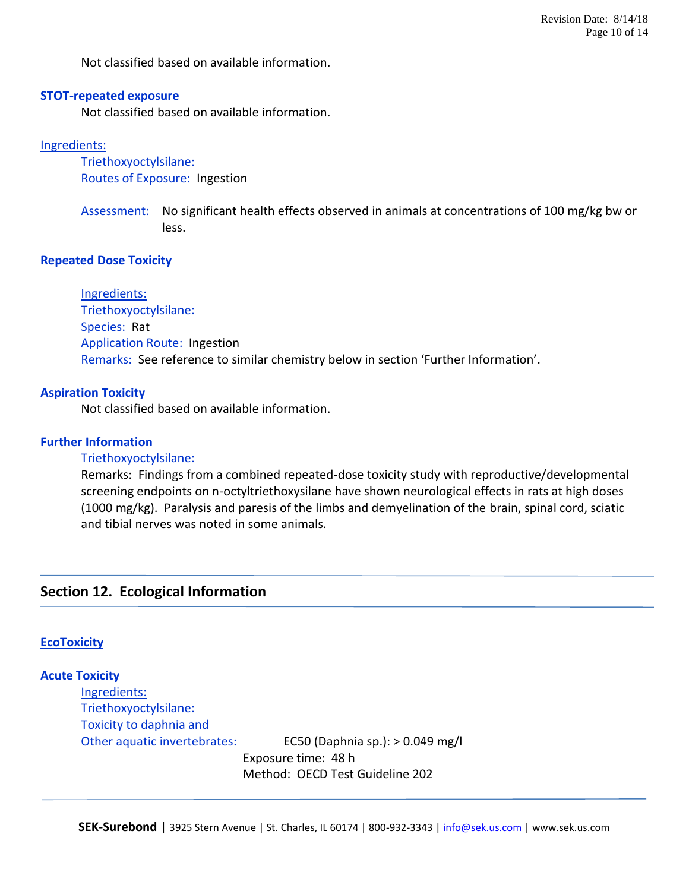Not classified based on available information.

#### **STOT-repeated exposure**

Not classified based on available information.

#### Ingredients:

Triethoxyoctylsilane: Routes of Exposure: Ingestion

Assessment: No significant health effects observed in animals at concentrations of 100 mg/kg bw or less.

#### **Repeated Dose Toxicity**

Ingredients: Triethoxyoctylsilane: Species: Rat Application Route: Ingestion Remarks: See reference to similar chemistry below in section 'Further Information'.

#### **Aspiration Toxicity**

Not classified based on available information.

#### **Further Information**

#### Triethoxyoctylsilane:

Remarks: Findings from a combined repeated-dose toxicity study with reproductive/developmental screening endpoints on n-octyltriethoxysilane have shown neurological effects in rats at high doses (1000 mg/kg). Paralysis and paresis of the limbs and demyelination of the brain, spinal cord, sciatic and tibial nerves was noted in some animals.

# **Section 12. Ecological Information**

#### **EcoToxicity**

**Acute Toxicity** Ingredients: Triethoxyoctylsilane: Toxicity to daphnia and Other aquatic invertebrates: EC50 (Daphnia sp.): > 0.049 mg/l Exposure time: 48 h Method: OECD Test Guideline 202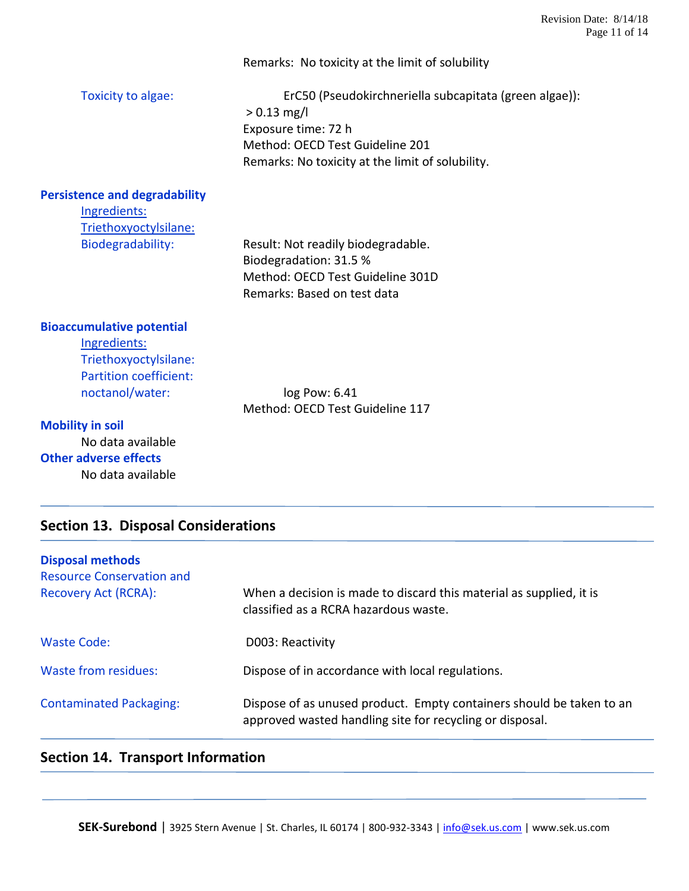|                                      | Remarks: No toxicity at the limit of solubility                                                                                                                                       |
|--------------------------------------|---------------------------------------------------------------------------------------------------------------------------------------------------------------------------------------|
| Toxicity to algae:                   | ErC50 (Pseudokirchneriella subcapitata (green algae)):<br>$> 0.13$ mg/l<br>Exposure time: 72 h<br>Method: OECD Test Guideline 201<br>Remarks: No toxicity at the limit of solubility. |
| <b>Persistence and degradability</b> |                                                                                                                                                                                       |
| Ingredients:                         |                                                                                                                                                                                       |
| Triethoxyoctylsilane:                |                                                                                                                                                                                       |
| Biodegradability:                    | Result: Not readily biodegradable.<br>Biodegradation: 31.5 %                                                                                                                          |
|                                      | Method: OECD Test Guideline 301D                                                                                                                                                      |
|                                      | Remarks: Based on test data                                                                                                                                                           |
| <b>Bioaccumulative potential</b>     |                                                                                                                                                                                       |
| Ingredients:                         |                                                                                                                                                                                       |
| Triethoxyoctylsilane:                |                                                                                                                                                                                       |
| <b>Partition coefficient:</b>        |                                                                                                                                                                                       |
| noctanol/water:                      | log Pow: 6.41<br>Method: OECD Test Guideline 117                                                                                                                                      |
| <b>Mobility in soil</b>              |                                                                                                                                                                                       |
| No data available                    |                                                                                                                                                                                       |
| <b>Other adverse effects</b>         |                                                                                                                                                                                       |
| No data available                    |                                                                                                                                                                                       |

# **Section 13. Disposal Considerations**

| <b>Disposal methods</b><br><b>Resource Conservation and</b><br><b>Recovery Act (RCRA):</b> | When a decision is made to discard this material as supplied, it is<br>classified as a RCRA hazardous waste.                     |
|--------------------------------------------------------------------------------------------|----------------------------------------------------------------------------------------------------------------------------------|
| Waste Code:                                                                                | D003: Reactivity                                                                                                                 |
| Waste from residues:                                                                       | Dispose of in accordance with local regulations.                                                                                 |
| <b>Contaminated Packaging:</b>                                                             | Dispose of as unused product. Empty containers should be taken to an<br>approved wasted handling site for recycling or disposal. |

# **Section 14. Transport Information**

**SEK-Surebond** | 3925 Stern Avenue | St. Charles, IL 60174 | 800-932-3343 | [info@sek.us.com](mailto:info@sek.us.com) | www.sek.us.com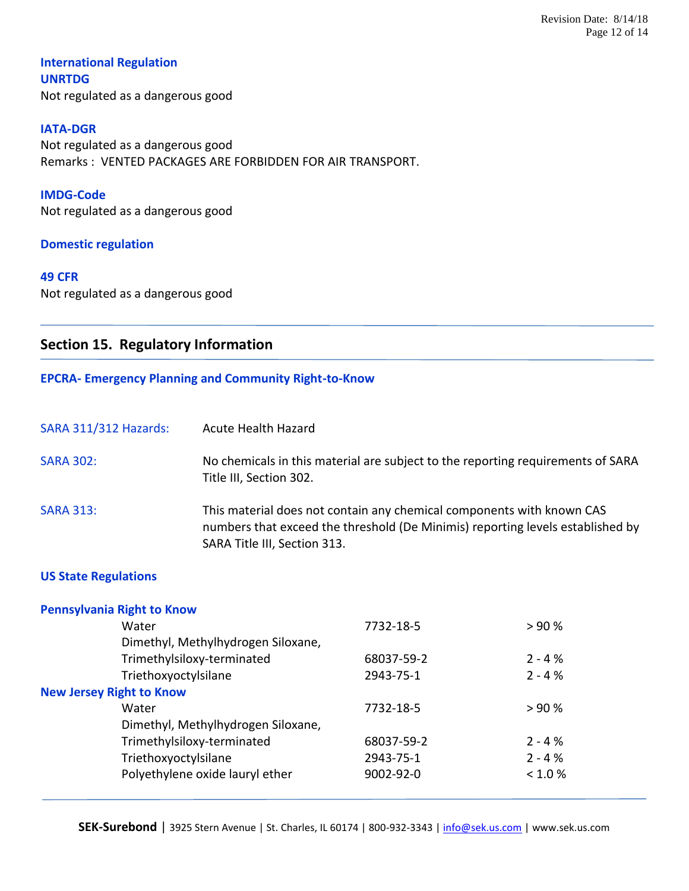# **International Regulation UNRTDG** Not regulated as a dangerous good

#### **IATA-DGR**

Not regulated as a dangerous good Remarks : VENTED PACKAGES ARE FORBIDDEN FOR AIR TRANSPORT.

# **IMDG-Code**

Not regulated as a dangerous good

#### **Domestic regulation**

#### **49 CFR**

Not regulated as a dangerous good

# **Section 15. Regulatory Information**

#### **EPCRA- Emergency Planning and Community Right-to-Know**

| <b>SARA 311/312 Hazards:</b> | <b>Acute Health Hazard</b>                                                                                                                                                              |
|------------------------------|-----------------------------------------------------------------------------------------------------------------------------------------------------------------------------------------|
| <b>SARA 302:</b>             | No chemicals in this material are subject to the reporting requirements of SARA<br>Title III, Section 302.                                                                              |
| <b>SARA 313:</b>             | This material does not contain any chemical components with known CAS<br>numbers that exceed the threshold (De Minimis) reporting levels established by<br>SARA Title III, Section 313. |

#### **US State Regulations**

| <b>Pennsylvania Right to Know</b>  |                 |           |
|------------------------------------|-----------------|-----------|
| Water                              | 7732-18-5       | >90%      |
| Dimethyl, Methylhydrogen Siloxane, |                 |           |
| Trimethylsiloxy-terminated         | 68037-59-2      | $2 - 4%$  |
| Triethoxyoctylsilane               | 2943-75-1       | $2 - 4%$  |
| <b>New Jersey Right to Know</b>    |                 |           |
| Water                              | 7732-18-5       | >90%      |
| Dimethyl, Methylhydrogen Siloxane, |                 |           |
| Trimethylsiloxy-terminated         | 68037-59-2      | $2 - 4%$  |
| Triethoxyoctylsilane               | 2943-75-1       | $2 - 4 %$ |
| Polyethylene oxide lauryl ether    | $9002 - 92 - 0$ | < 1.0 %   |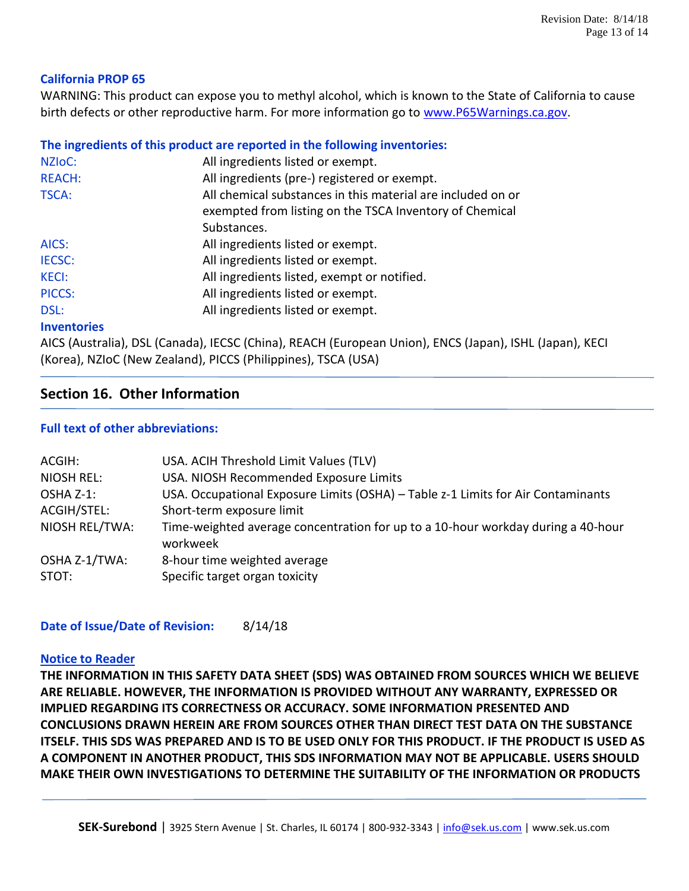# **California PROP 65**

WARNING: This product can expose you to methyl alcohol, which is known to the State of California to cause birth defects or other reproductive harm. For more information go to [www.P65Warnings.ca.gov.](http://www.p65warnings.ca.gov/)

# **The ingredients of this product are reported in the following inventories:**

| NZI <sub>OC</sub> : | All ingredients listed or exempt.                           |
|---------------------|-------------------------------------------------------------|
| <b>REACH:</b>       | All ingredients (pre-) registered or exempt.                |
| <b>TSCA:</b>        | All chemical substances in this material are included on or |
|                     | exempted from listing on the TSCA Inventory of Chemical     |
|                     | Substances.                                                 |
| AICS:               | All ingredients listed or exempt.                           |
| <b>IECSC:</b>       | All ingredients listed or exempt.                           |
| <b>KECI:</b>        | All ingredients listed, exempt or notified.                 |
| PICCS:              | All ingredients listed or exempt.                           |
| DSL:                | All ingredients listed or exempt.                           |
|                     |                                                             |

#### **Inventories**

AICS (Australia), DSL (Canada), IECSC (China), REACH (European Union), ENCS (Japan), ISHL (Japan), KECI (Korea), NZIoC (New Zealand), PICCS (Philippines), TSCA (USA)

# **Section 16. Other Information**

## **Full text of other abbreviations:**

| ACGIH:            | USA. ACIH Threshold Limit Values (TLV)                                                       |
|-------------------|----------------------------------------------------------------------------------------------|
| <b>NIOSH REL:</b> | USA. NIOSH Recommended Exposure Limits                                                       |
| OSHA Z-1:         | USA. Occupational Exposure Limits (OSHA) - Table z-1 Limits for Air Contaminants             |
| ACGIH/STEL:       | Short-term exposure limit                                                                    |
| NIOSH REL/TWA:    | Time-weighted average concentration for up to a 10-hour workday during a 40-hour<br>workweek |
| OSHA Z-1/TWA:     | 8-hour time weighted average                                                                 |
| STOT:             | Specific target organ toxicity                                                               |

**Date of Issue/Date of Revision:** 8/14/18

#### **Notice to Reader**

**THE INFORMATION IN THIS SAFETY DATA SHEET (SDS) WAS OBTAINED FROM SOURCES WHICH WE BELIEVE ARE RELIABLE. HOWEVER, THE INFORMATION IS PROVIDED WITHOUT ANY WARRANTY, EXPRESSED OR IMPLIED REGARDING ITS CORRECTNESS OR ACCURACY. SOME INFORMATION PRESENTED AND CONCLUSIONS DRAWN HEREIN ARE FROM SOURCES OTHER THAN DIRECT TEST DATA ON THE SUBSTANCE ITSELF. THIS SDS WAS PREPARED AND IS TO BE USED ONLY FOR THIS PRODUCT. IF THE PRODUCT IS USED AS A COMPONENT IN ANOTHER PRODUCT, THIS SDS INFORMATION MAY NOT BE APPLICABLE. USERS SHOULD MAKE THEIR OWN INVESTIGATIONS TO DETERMINE THE SUITABILITY OF THE INFORMATION OR PRODUCTS**